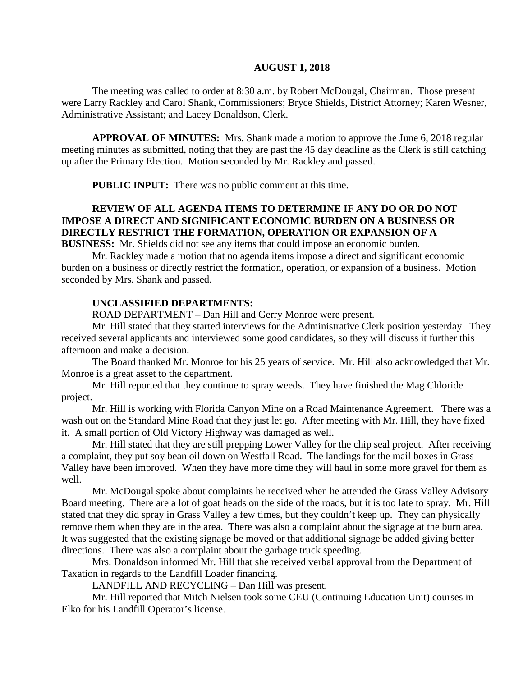#### **AUGUST 1, 2018**

The meeting was called to order at 8:30 a.m. by Robert McDougal, Chairman. Those present were Larry Rackley and Carol Shank, Commissioners; Bryce Shields, District Attorney; Karen Wesner, Administrative Assistant; and Lacey Donaldson, Clerk.

**APPROVAL OF MINUTES:** Mrs. Shank made a motion to approve the June 6, 2018 regular meeting minutes as submitted, noting that they are past the 45 day deadline as the Clerk is still catching up after the Primary Election. Motion seconded by Mr. Rackley and passed.

 **PUBLIC INPUT:** There was no public comment at this time.

## **REVIEW OF ALL AGENDA ITEMS TO DETERMINE IF ANY DO OR DO NOT IMPOSE A DIRECT AND SIGNIFICANT ECONOMIC BURDEN ON A BUSINESS OR DIRECTLY RESTRICT THE FORMATION, OPERATION OR EXPANSION OF A**

**BUSINESS:** Mr. Shields did not see any items that could impose an economic burden.

Mr. Rackley made a motion that no agenda items impose a direct and significant economic burden on a business or directly restrict the formation, operation, or expansion of a business. Motion seconded by Mrs. Shank and passed.

## **UNCLASSIFIED DEPARTMENTS:**

ROAD DEPARTMENT – Dan Hill and Gerry Monroe were present.

Mr. Hill stated that they started interviews for the Administrative Clerk position yesterday. They received several applicants and interviewed some good candidates, so they will discuss it further this afternoon and make a decision.

The Board thanked Mr. Monroe for his 25 years of service. Mr. Hill also acknowledged that Mr. Monroe is a great asset to the department.

Mr. Hill reported that they continue to spray weeds. They have finished the Mag Chloride project.

Mr. Hill is working with Florida Canyon Mine on a Road Maintenance Agreement. There was a wash out on the Standard Mine Road that they just let go. After meeting with Mr. Hill, they have fixed it. A small portion of Old Victory Highway was damaged as well.

Mr. Hill stated that they are still prepping Lower Valley for the chip seal project. After receiving a complaint, they put soy bean oil down on Westfall Road. The landings for the mail boxes in Grass Valley have been improved. When they have more time they will haul in some more gravel for them as well.

Mr. McDougal spoke about complaints he received when he attended the Grass Valley Advisory Board meeting. There are a lot of goat heads on the side of the roads, but it is too late to spray. Mr. Hill stated that they did spray in Grass Valley a few times, but they couldn't keep up. They can physically remove them when they are in the area. There was also a complaint about the signage at the burn area. It was suggested that the existing signage be moved or that additional signage be added giving better directions. There was also a complaint about the garbage truck speeding.

Mrs. Donaldson informed Mr. Hill that she received verbal approval from the Department of Taxation in regards to the Landfill Loader financing.

LANDFILL AND RECYCLING – Dan Hill was present.

Mr. Hill reported that Mitch Nielsen took some CEU (Continuing Education Unit) courses in Elko for his Landfill Operator's license.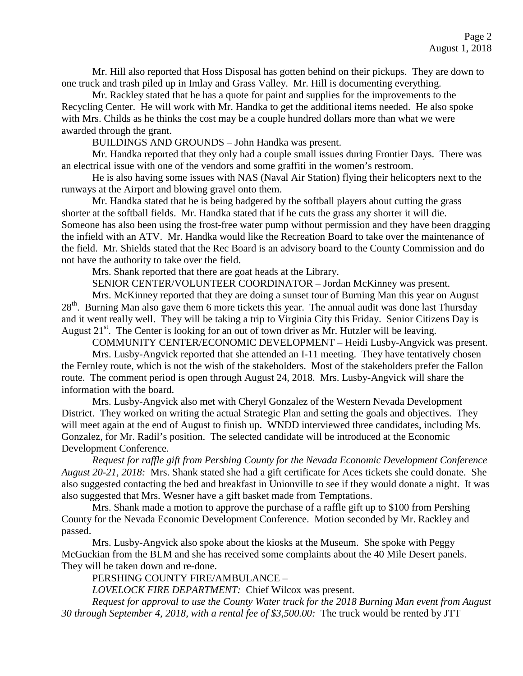Mr. Hill also reported that Hoss Disposal has gotten behind on their pickups. They are down to one truck and trash piled up in Imlay and Grass Valley. Mr. Hill is documenting everything.

Mr. Rackley stated that he has a quote for paint and supplies for the improvements to the Recycling Center. He will work with Mr. Handka to get the additional items needed. He also spoke with Mrs. Childs as he thinks the cost may be a couple hundred dollars more than what we were awarded through the grant.

BUILDINGS AND GROUNDS – John Handka was present.

Mr. Handka reported that they only had a couple small issues during Frontier Days. There was an electrical issue with one of the vendors and some graffiti in the women's restroom.

He is also having some issues with NAS (Naval Air Station) flying their helicopters next to the runways at the Airport and blowing gravel onto them.

Mr. Handka stated that he is being badgered by the softball players about cutting the grass shorter at the softball fields. Mr. Handka stated that if he cuts the grass any shorter it will die. Someone has also been using the frost-free water pump without permission and they have been dragging the infield with an ATV. Mr. Handka would like the Recreation Board to take over the maintenance of the field. Mr. Shields stated that the Rec Board is an advisory board to the County Commission and do not have the authority to take over the field.

Mrs. Shank reported that there are goat heads at the Library.

SENIOR CENTER/VOLUNTEER COORDINATOR – Jordan McKinney was present.

Mrs. McKinney reported that they are doing a sunset tour of Burning Man this year on August 28<sup>th</sup>. Burning Man also gave them 6 more tickets this year. The annual audit was done last Thursday and it went really well. They will be taking a trip to Virginia City this Friday. Senior Citizens Day is August  $21^{st}$ . The Center is looking for an out of town driver as Mr. Hutzler will be leaving.

COMMUNITY CENTER/ECONOMIC DEVELOPMENT – Heidi Lusby-Angvick was present.

Mrs. Lusby-Angvick reported that she attended an I-11 meeting. They have tentatively chosen the Fernley route, which is not the wish of the stakeholders. Most of the stakeholders prefer the Fallon route. The comment period is open through August 24, 2018. Mrs. Lusby-Angvick will share the information with the board.

Mrs. Lusby-Angvick also met with Cheryl Gonzalez of the Western Nevada Development District. They worked on writing the actual Strategic Plan and setting the goals and objectives. They will meet again at the end of August to finish up. WNDD interviewed three candidates, including Ms. Gonzalez, for Mr. Radil's position. The selected candidate will be introduced at the Economic Development Conference.

 *Request for raffle gift from Pershing County for the Nevada Economic Development Conference August 20-21, 2018:* Mrs. Shank stated she had a gift certificate for Aces tickets she could donate. She also suggested contacting the bed and breakfast in Unionville to see if they would donate a night. It was also suggested that Mrs. Wesner have a gift basket made from Temptations.

Mrs. Shank made a motion to approve the purchase of a raffle gift up to \$100 from Pershing County for the Nevada Economic Development Conference. Motion seconded by Mr. Rackley and passed.

Mrs. Lusby-Angvick also spoke about the kiosks at the Museum. She spoke with Peggy McGuckian from the BLM and she has received some complaints about the 40 Mile Desert panels. They will be taken down and re-done.

PERSHING COUNTY FIRE/AMBULANCE –

*LOVELOCK FIRE DEPARTMENT:* Chief Wilcox was present.

*Request for approval to use the County Water truck for the 2018 Burning Man event from August 30 through September 4, 2018, with a rental fee of \$3,500.00:* The truck would be rented by JTT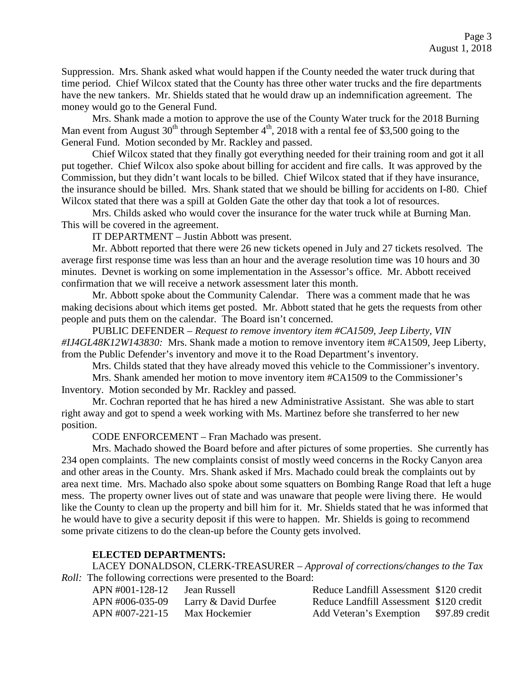Suppression. Mrs. Shank asked what would happen if the County needed the water truck during that time period. Chief Wilcox stated that the County has three other water trucks and the fire departments have the new tankers. Mr. Shields stated that he would draw up an indemnification agreement. The money would go to the General Fund.

Mrs. Shank made a motion to approve the use of the County Water truck for the 2018 Burning Man event from August  $30<sup>th</sup>$  through September 4<sup>th</sup>, 2018 with a rental fee of \$3,500 going to the General Fund. Motion seconded by Mr. Rackley and passed.

Chief Wilcox stated that they finally got everything needed for their training room and got it all put together. Chief Wilcox also spoke about billing for accident and fire calls. It was approved by the Commission, but they didn't want locals to be billed. Chief Wilcox stated that if they have insurance, the insurance should be billed. Mrs. Shank stated that we should be billing for accidents on I-80. Chief Wilcox stated that there was a spill at Golden Gate the other day that took a lot of resources.

Mrs. Childs asked who would cover the insurance for the water truck while at Burning Man. This will be covered in the agreement.

IT DEPARTMENT – Justin Abbott was present.

Mr. Abbott reported that there were 26 new tickets opened in July and 27 tickets resolved. The average first response time was less than an hour and the average resolution time was 10 hours and 30 minutes. Devnet is working on some implementation in the Assessor's office. Mr. Abbott received confirmation that we will receive a network assessment later this month.

Mr. Abbott spoke about the Community Calendar. There was a comment made that he was making decisions about which items get posted. Mr. Abbott stated that he gets the requests from other people and puts them on the calendar. The Board isn't concerned.

PUBLIC DEFENDER – *Request to remove inventory item #CA1509, Jeep Liberty, VIN #IJ4GL48K12W143830:* Mrs. Shank made a motion to remove inventory item #CA1509, Jeep Liberty, from the Public Defender's inventory and move it to the Road Department's inventory.

Mrs. Childs stated that they have already moved this vehicle to the Commissioner's inventory.

Mrs. Shank amended her motion to move inventory item #CA1509 to the Commissioner's Inventory. Motion seconded by Mr. Rackley and passed.

Mr. Cochran reported that he has hired a new Administrative Assistant. She was able to start right away and got to spend a week working with Ms. Martinez before she transferred to her new position.

CODE ENFORCEMENT – Fran Machado was present.

Mrs. Machado showed the Board before and after pictures of some properties. She currently has 234 open complaints. The new complaints consist of mostly weed concerns in the Rocky Canyon area and other areas in the County. Mrs. Shank asked if Mrs. Machado could break the complaints out by area next time. Mrs. Machado also spoke about some squatters on Bombing Range Road that left a huge mess. The property owner lives out of state and was unaware that people were living there. He would like the County to clean up the property and bill him for it. Mr. Shields stated that he was informed that he would have to give a security deposit if this were to happen. Mr. Shields is going to recommend some private citizens to do the clean-up before the County gets involved.

## **ELECTED DEPARTMENTS:**

LACEY DONALDSON, CLERK-TREASURER – *Approval of corrections/changes to the Tax Roll:* The following corrections were presented to the Board:

| APN #001-128-12 | Jean Russell         | Reduce Landfill Assessment \$120 credit |                |
|-----------------|----------------------|-----------------------------------------|----------------|
| APN #006-035-09 | Larry & David Durfee | Reduce Landfill Assessment \$120 credit |                |
| APN #007-221-15 | Max Hockemier        | Add Veteran's Exemption                 | \$97.89 credit |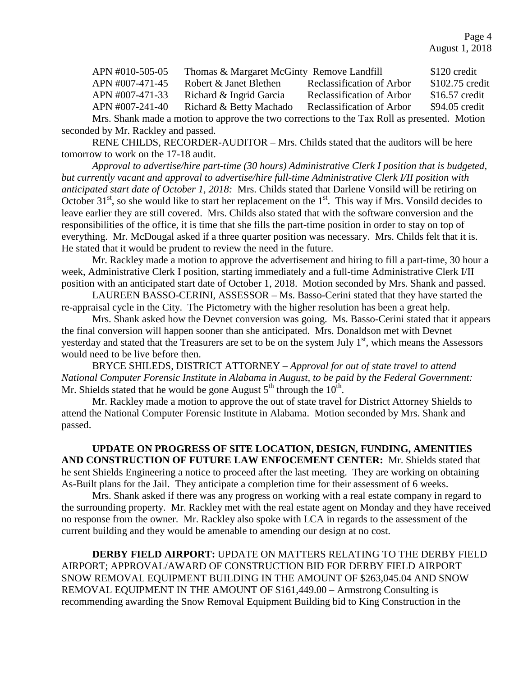Page 4 August 1, 2018

| APN #010-505-05 | Thomas & Margaret McGinty Remove Landfill |                                                                                             | \$120 credit    |
|-----------------|-------------------------------------------|---------------------------------------------------------------------------------------------|-----------------|
| APN #007-471-45 | Robert & Janet Blethen                    | Reclassification of Arbor                                                                   | \$102.75 credit |
| APN #007-471-33 | Richard & Ingrid Garcia                   | <b>Reclassification of Arbor</b>                                                            | $$16.57$ credit |
| APN #007-241-40 | Richard & Betty Machado                   | Reclassification of Arbor                                                                   | \$94.05 credit  |
|                 |                                           | Mrs. Shank made a motion to approve the two corrections to the Tay Poll as presented Motion |                 |

Mrs. Shank made a motion to approve the two corrections to the Tax Roll as presented. Motion seconded by Mr. Rackley and passed.

RENE CHILDS, RECORDER-AUDITOR – Mrs. Childs stated that the auditors will be here tomorrow to work on the 17-18 audit.

*Approval to advertise/hire part-time (30 hours) Administrative Clerk I position that is budgeted, but currently vacant and approval to advertise/hire full-time Administrative Clerk I/II position with anticipated start date of October 1, 2018:* Mrs. Childs stated that Darlene Vonsild will be retiring on October  $31<sup>st</sup>$ , so she would like to start her replacement on the  $1<sup>st</sup>$ . This way if Mrs. Vonsild decides to leave earlier they are still covered. Mrs. Childs also stated that with the software conversion and the responsibilities of the office, it is time that she fills the part-time position in order to stay on top of everything. Mr. McDougal asked if a three quarter position was necessary. Mrs. Childs felt that it is. He stated that it would be prudent to review the need in the future.

Mr. Rackley made a motion to approve the advertisement and hiring to fill a part-time, 30 hour a week, Administrative Clerk I position, starting immediately and a full-time Administrative Clerk I/II position with an anticipated start date of October 1, 2018. Motion seconded by Mrs. Shank and passed.

LAUREEN BASSO-CERINI, ASSESSOR – Ms. Basso-Cerini stated that they have started the re-appraisal cycle in the City. The Pictometry with the higher resolution has been a great help.

Mrs. Shank asked how the Devnet conversion was going. Ms. Basso-Cerini stated that it appears the final conversion will happen sooner than she anticipated. Mrs. Donaldson met with Devnet yesterday and stated that the Treasurers are set to be on the system July  $1<sup>st</sup>$ , which means the Assessors would need to be live before then.

BRYCE SHILEDS, DISTRICT ATTORNEY – *Approval for out of state travel to attend National Computer Forensic Institute in Alabama in August, to be paid by the Federal Government:*  Mr. Shields stated that he would be gone August  $5<sup>th</sup>$  through the  $10<sup>th</sup>$ .

Mr. Rackley made a motion to approve the out of state travel for District Attorney Shields to attend the National Computer Forensic Institute in Alabama. Motion seconded by Mrs. Shank and passed.

**UPDATE ON PROGRESS OF SITE LOCATION, DESIGN, FUNDING, AMENITIES AND CONSTRUCTION OF FUTURE LAW ENFOCEMENT CENTER:** Mr. Shields stated that he sent Shields Engineering a notice to proceed after the last meeting. They are working on obtaining As-Built plans for the Jail. They anticipate a completion time for their assessment of 6 weeks.

Mrs. Shank asked if there was any progress on working with a real estate company in regard to the surrounding property. Mr. Rackley met with the real estate agent on Monday and they have received no response from the owner. Mr. Rackley also spoke with LCA in regards to the assessment of the current building and they would be amenable to amending our design at no cost.

**DERBY FIELD AIRPORT:** UPDATE ON MATTERS RELATING TO THE DERBY FIELD AIRPORT; APPROVAL/AWARD OF CONSTRUCTION BID FOR DERBY FIELD AIRPORT SNOW REMOVAL EQUIPMENT BUILDING IN THE AMOUNT OF \$263,045.04 AND SNOW REMOVAL EQUIPMENT IN THE AMOUNT OF \$161,449.00 – Armstrong Consulting is recommending awarding the Snow Removal Equipment Building bid to King Construction in the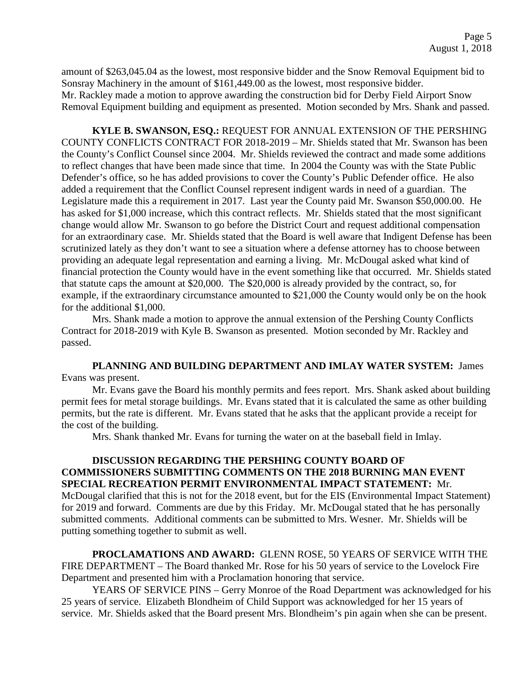amount of \$263,045.04 as the lowest, most responsive bidder and the Snow Removal Equipment bid to Sonsray Machinery in the amount of \$161,449.00 as the lowest, most responsive bidder. Mr. Rackley made a motion to approve awarding the construction bid for Derby Field Airport Snow Removal Equipment building and equipment as presented. Motion seconded by Mrs. Shank and passed.

**KYLE B. SWANSON, ESQ.:** REQUEST FOR ANNUAL EXTENSION OF THE PERSHING COUNTY CONFLICTS CONTRACT FOR 2018-2019 – Mr. Shields stated that Mr. Swanson has been the County's Conflict Counsel since 2004. Mr. Shields reviewed the contract and made some additions to reflect changes that have been made since that time. In 2004 the County was with the State Public Defender's office, so he has added provisions to cover the County's Public Defender office. He also added a requirement that the Conflict Counsel represent indigent wards in need of a guardian. The Legislature made this a requirement in 2017. Last year the County paid Mr. Swanson \$50,000.00. He has asked for \$1,000 increase, which this contract reflects. Mr. Shields stated that the most significant change would allow Mr. Swanson to go before the District Court and request additional compensation for an extraordinary case. Mr. Shields stated that the Board is well aware that Indigent Defense has been scrutinized lately as they don't want to see a situation where a defense attorney has to choose between providing an adequate legal representation and earning a living. Mr. McDougal asked what kind of financial protection the County would have in the event something like that occurred. Mr. Shields stated that statute caps the amount at \$20,000. The \$20,000 is already provided by the contract, so, for example, if the extraordinary circumstance amounted to \$21,000 the County would only be on the hook for the additional \$1,000.

Mrs. Shank made a motion to approve the annual extension of the Pershing County Conflicts Contract for 2018-2019 with Kyle B. Swanson as presented. Motion seconded by Mr. Rackley and passed.

**PLANNING AND BUILDING DEPARTMENT AND IMLAY WATER SYSTEM:** James Evans was present.

Mr. Evans gave the Board his monthly permits and fees report. Mrs. Shank asked about building permit fees for metal storage buildings. Mr. Evans stated that it is calculated the same as other building permits, but the rate is different. Mr. Evans stated that he asks that the applicant provide a receipt for the cost of the building.

Mrs. Shank thanked Mr. Evans for turning the water on at the baseball field in Imlay.

# **DISCUSSION REGARDING THE PERSHING COUNTY BOARD OF COMMISSIONERS SUBMITTING COMMENTS ON THE 2018 BURNING MAN EVENT SPECIAL RECREATION PERMIT ENVIRONMENTAL IMPACT STATEMENT:** Mr. McDougal clarified that this is not for the 2018 event, but for the EIS (Environmental Impact Statement)

for 2019 and forward. Comments are due by this Friday. Mr. McDougal stated that he has personally submitted comments. Additional comments can be submitted to Mrs. Wesner. Mr. Shields will be putting something together to submit as well.

**PROCLAMATIONS AND AWARD:** GLENN ROSE, 50 YEARS OF SERVICE WITH THE FIRE DEPARTMENT – The Board thanked Mr. Rose for his 50 years of service to the Lovelock Fire Department and presented him with a Proclamation honoring that service.

YEARS OF SERVICE PINS – Gerry Monroe of the Road Department was acknowledged for his 25 years of service. Elizabeth Blondheim of Child Support was acknowledged for her 15 years of service. Mr. Shields asked that the Board present Mrs. Blondheim's pin again when she can be present.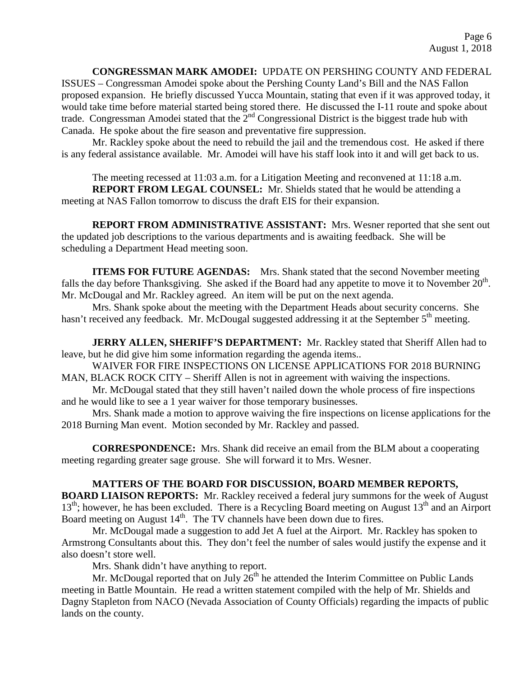## **CONGRESSMAN MARK AMODEI:** UPDATE ON PERSHING COUNTY AND FEDERAL

ISSUES – Congressman Amodei spoke about the Pershing County Land's Bill and the NAS Fallon proposed expansion. He briefly discussed Yucca Mountain, stating that even if it was approved today, it would take time before material started being stored there. He discussed the I-11 route and spoke about trade. Congressman Amodei stated that the 2<sup>nd</sup> Congressional District is the biggest trade hub with Canada. He spoke about the fire season and preventative fire suppression.

Mr. Rackley spoke about the need to rebuild the jail and the tremendous cost. He asked if there is any federal assistance available. Mr. Amodei will have his staff look into it and will get back to us.

The meeting recessed at 11:03 a.m. for a Litigation Meeting and reconvened at 11:18 a.m. **REPORT FROM LEGAL COUNSEL:** Mr. Shields stated that he would be attending a

meeting at NAS Fallon tomorrow to discuss the draft EIS for their expansion.

**REPORT FROM ADMINISTRATIVE ASSISTANT:** Mrs. Wesner reported that she sent out the updated job descriptions to the various departments and is awaiting feedback. She will be scheduling a Department Head meeting soon.

**ITEMS FOR FUTURE AGENDAS:** Mrs. Shank stated that the second November meeting falls the day before Thanksgiving. She asked if the Board had any appetite to move it to November  $20<sup>th</sup>$ . Mr. McDougal and Mr. Rackley agreed. An item will be put on the next agenda.

Mrs. Shank spoke about the meeting with the Department Heads about security concerns. She hasn't received any feedback. Mr. McDougal suggested addressing it at the September 5<sup>th</sup> meeting.

**JERRY ALLEN, SHERIFF'S DEPARTMENT:** Mr. Rackley stated that Sheriff Allen had to leave, but he did give him some information regarding the agenda items..

WAIVER FOR FIRE INSPECTIONS ON LICENSE APPLICATIONS FOR 2018 BURNING MAN, BLACK ROCK CITY – Sheriff Allen is not in agreement with waiving the inspections.

Mr. McDougal stated that they still haven't nailed down the whole process of fire inspections and he would like to see a 1 year waiver for those temporary businesses.

Mrs. Shank made a motion to approve waiving the fire inspections on license applications for the 2018 Burning Man event. Motion seconded by Mr. Rackley and passed.

**CORRESPONDENCE:** Mrs. Shank did receive an email from the BLM about a cooperating meeting regarding greater sage grouse. She will forward it to Mrs. Wesner.

## **MATTERS OF THE BOARD FOR DISCUSSION, BOARD MEMBER REPORTS,**

**BOARD LIAISON REPORTS:** Mr. Rackley received a federal jury summons for the week of August  $13<sup>th</sup>$ ; however, he has been excluded. There is a Recycling Board meeting on August  $13<sup>th</sup>$  and an Airport Board meeting on August  $14<sup>th</sup>$ . The TV channels have been down due to fires.

Mr. McDougal made a suggestion to add Jet A fuel at the Airport. Mr. Rackley has spoken to Armstrong Consultants about this. They don't feel the number of sales would justify the expense and it also doesn't store well.

Mrs. Shank didn't have anything to report.

Mr. McDougal reported that on July  $26<sup>th</sup>$  he attended the Interim Committee on Public Lands meeting in Battle Mountain. He read a written statement compiled with the help of Mr. Shields and Dagny Stapleton from NACO (Nevada Association of County Officials) regarding the impacts of public lands on the county.